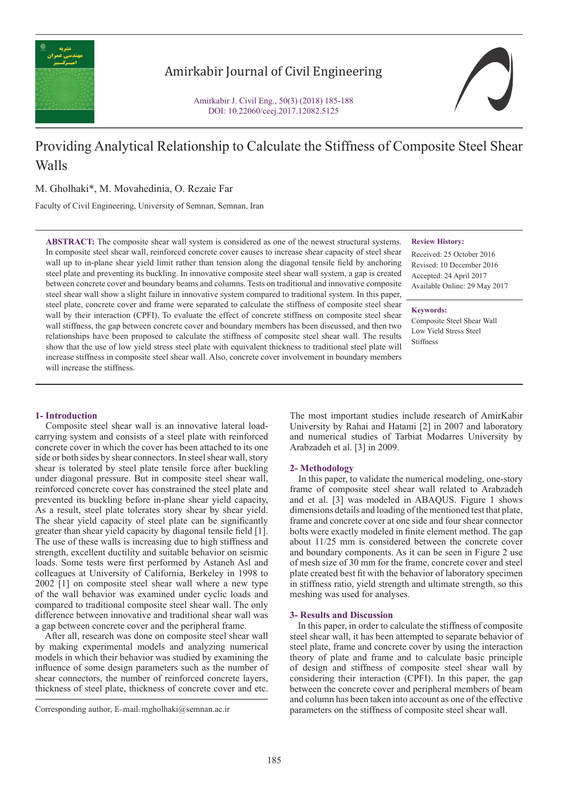

# Amirkabir Journal of Civil Engineering

Amirkabir J. Civil Eng., 50(3) (2018) 185-188 DOI: 10.22060/ceej.2017.12082.5125



# Providing Analytical Relationship to Calculate the Stiffness of Composite Steel Shear Walls

M. Gholhaki\*, M. Movahedinia, O. Rezaie Far

Faculty of Civil Engineering, University of Semnan, Semnan, Iran

**ABSTRACT:** The composite shear wall system is considered as one of the newest structural systems. In composite steel shear wall, reinforced concrete cover causes to increase shear capacity of steel shear wall up to in-plane shear yield limit rather than tension along the diagonal tensile field by anchoring steel plate and preventing its buckling. In innovative composite steel shear wall system, a gap is created between concrete cover and boundary beams and columns. Tests on traditional and innovative composite steel shear wall show a slight failure in innovative system compared to traditional system. In this paper, steel plate, concrete cover and frame were separated to calculate the stiffness of composite steel shear wall by their interaction (CPFI). To evaluate the effect of concrete stiffness on composite steel shear wall stiffness, the gap between concrete cover and boundary members has been discussed, and then two relationships have been proposed to calculate the stiffness of composite steel shear wall. The results show that the use of low yield stress steel plate with equivalent thickness to traditional steel plate will increase stiffness in composite steel shear wall. Also, concrete cover involvement in boundary members will increase the stiffness.

#### **Review History:**

Received: 25 October 2016 Revised: 10 December 2016 Accepted: 24 April 2017 Available Online: 29 May 2017

**Keywords:**

Composite Steel Shear Wall Low Yield Stress Steel Stiffness

## **1- Introduction**

 Composite steel shear wall is an innovative lateral loadcarrying system and consists of a steel plate with reinforced concrete cover in which the cover has been attached to its one side or both sides by shear connectors. In steel shear wall, story shear is tolerated by steel plate tensile force after buckling under diagonal pressure. But in composite steel shear wall, reinforced concrete cover has constrained the steel plate and prevented its buckling before in-plane shear yield capacity, As a result, steel plate tolerates story shear by shear yield. The shear yield capacity of steel plate can be significantly greater than shear yield capacity by diagonal tensile field [1]. The use of these walls is increasing due to high stiffness and strength, excellent ductility and suitable behavior on seismic loads. Some tests were first performed by Astaneh Asl and colleagues at University of California, Berkeley in 1998 to 2002 [1] on composite steel shear wall where a new type of the wall behavior was examined under cyclic loads and compared to traditional composite steel shear wall. The only difference between innovative and traditional shear wall was a gap between concrete cover and the peripheral frame.

 After all, research was done on composite steel shear wall by making experimental models and analyzing numerical models in which their behavior was studied by examining the influence of some design parameters such as the number of shear connectors, the number of reinforced concrete layers, thickness of steel plate, thickness of concrete cover and etc.

The most important studies include research of AmirKabir University by Rahai and Hatami [2] in 2007 and laboratory and numerical studies of Tarbiat Modarres University by Arabzadeh et al. [3] in 2009.

#### **2- Methodology**

 In this paper, to validate the numerical modeling, one-story frame of composite steel shear wall related to Arabzadeh and et al. [3] was modeled in ABAQUS. Figure 1 shows dimensions details and loading of the mentioned test that plate, frame and concrete cover at one side and four shear connector bolts were exactly modeled in finite element method. The gap about 11/25 mm is considered between the concrete cover and boundary components. As it can be seen in Figure 2 use of mesh size of 30 mm for the frame, concrete cover and steel plate created best fit with the behavior of laboratory specimen in stiffness ratio, yield strength and ultimate strength, so this meshing was used for analyses.

#### **3- Results and Discussion**

 In this paper, in order to calculate the stiffness of composite steel shear wall, it has been attempted to separate behavior of steel plate, frame and concrete cover by using the interaction theory of plate and frame and to calculate basic principle of design and stiffness of composite steel shear wall by considering their interaction (CPFI). In this paper, the gap between the concrete cover and peripheral members of beam and column has been taken into account as one of the effective Corresponding author, E-mail: mgholhaki@semnan.ac.ir parameters on the stiffness of composite steel shear wall.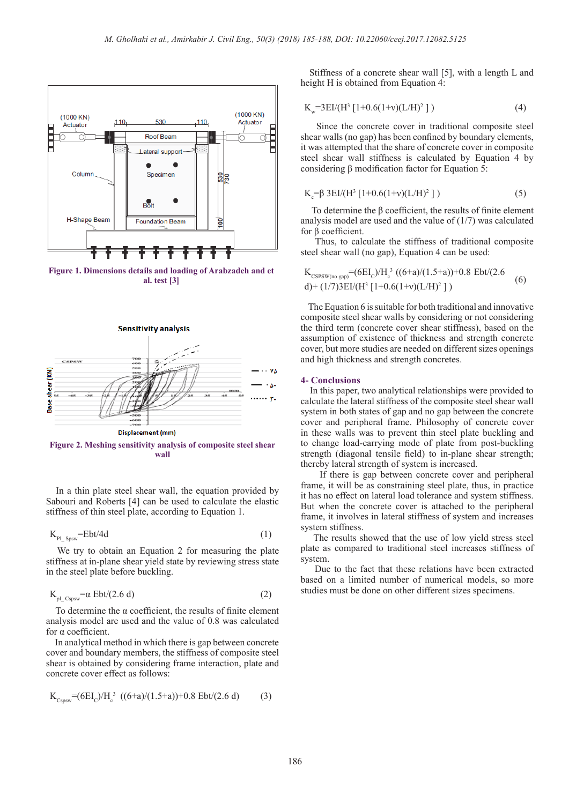

**Figure 1. Dimensions details and loading of Arabzadeh and et al. test [3]**



**Figure 2. Meshing sensitivity analysis of composite steel shear wall**

 In a thin plate steel shear wall, the equation provided by Sabouri and Roberts [4] can be used to calculate the elastic stiffness of thin steel plate, according to Equation 1.

$$
K_{\rm Pl\_Spsw} = Ebt/4d\tag{1}
$$

 We try to obtain an Equation 2 for measuring the plate stiffness at in-plane shear yield state by reviewing stress state in the steel plate before buckling.

$$
K_{pl\_Cspsw} = \alpha Ebt/(2.6 d)
$$
 (2)

 To determine the α coefficient, the results of finite element analysis model are used and the value of 0.8 was calculated for α coefficient.

 In analytical method in which there is gap between concrete cover and boundary members, the stiffness of composite steel shear is obtained by considering frame interaction, plate and concrete cover effect as follows:

$$
K_{Cspsw} = (6EI_c)/H_c^3 \cdot ((6+a)/(1.5+a)) + 0.8 \text{ Ebt}/(2.6 \text{ d}) \tag{3}
$$

 Stiffness of a concrete shear wall [5], with a length L and height H is obtained from Equation 4:

$$
K_w = 3EI/(H^3 [1+0.6(1+v)(L/H)^2])
$$
 (4)

 Since the concrete cover in traditional composite steel shear walls (no gap) has been confined by boundary elements, it was attempted that the share of concrete cover in composite steel shear wall stiffness is calculated by Equation 4 by considering β modification factor for Equation 5:

$$
K_c = \beta 3EI/(H^3 [1+0.6(1+v)(L/H)^2])
$$
 (5)

 To determine the β coefficient, the results of finite element analysis model are used and the value of (1/7) was calculated for β coefficient.

 Thus, to calculate the stiffness of traditional composite steel shear wall (no gap), Equation 4 can be used:

$$
K_{\text{CSPSW}(no\,\text{gap})} = (6EI_c)/H_c^3 \left( (6+a)/(1.5+a) \right) + 0.8 \text{ Ebt} / (2.6 \text{ d}) + (1/7)3 \text{EI} / (H^3 \left[ 1+0.6(1+v)(L/H)^2 \right] \right) \tag{6}
$$

 The Equation 6 is suitable for both traditional and innovative composite steel shear walls by considering or not considering the third term (concrete cover shear stiffness), based on the assumption of existence of thickness and strength concrete cover, but more studies are needed on different sizes openings and high thickness and strength concretes.

#### **4- Conclusions**

 In this paper, two analytical relationships were provided to calculate the lateral stiffness of the composite steel shear wall system in both states of gap and no gap between the concrete cover and peripheral frame. Philosophy of concrete cover in these walls was to prevent thin steel plate buckling and to change load-carrying mode of plate from post-buckling strength (diagonal tensile field) to in-plane shear strength; thereby lateral strength of system is increased.

 If there is gap between concrete cover and peripheral frame, it will be as constraining steel plate, thus, in practice it has no effect on lateral load tolerance and system stiffness. But when the concrete cover is attached to the peripheral frame, it involves in lateral stiffness of system and increases system stiffness.

 The results showed that the use of low yield stress steel plate as compared to traditional steel increases stiffness of system.

 Due to the fact that these relations have been extracted based on a limited number of numerical models, so more studies must be done on other different sizes specimens.